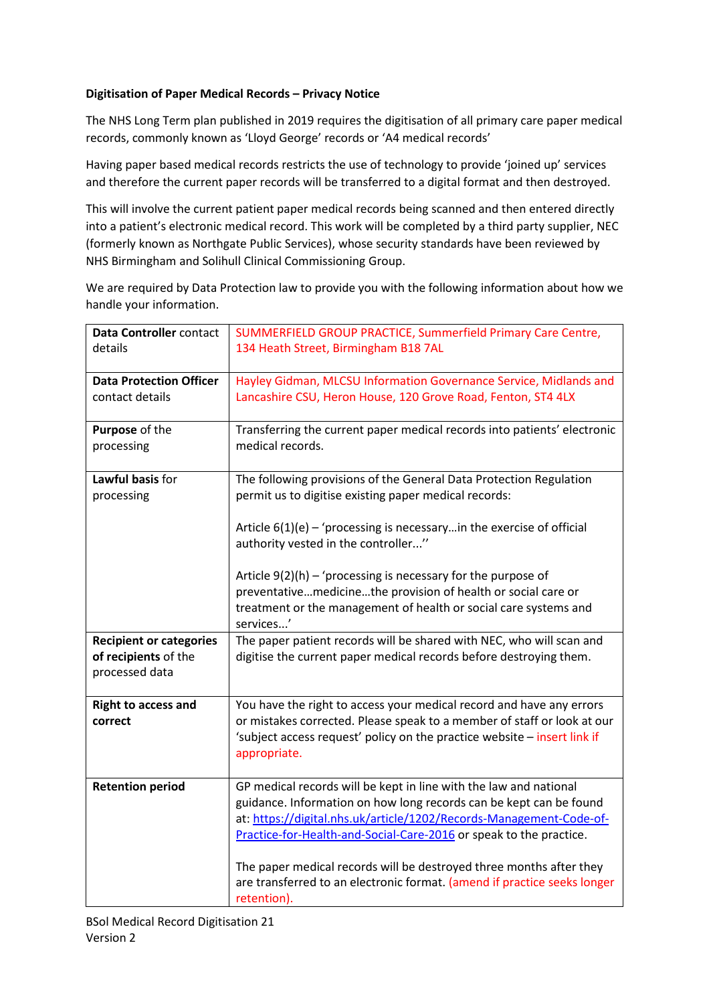## Digitisation of Paper Medical Records – Privacy Notice

The NHS Long Term plan published in 2019 requires the digitisation of all primary care paper medical records, commonly known as 'Lloyd George' records or 'A4 medical records'

Having paper based medical records restricts the use of technology to provide 'joined up' services and therefore the current paper records will be transferred to a digital format and then destroyed.

This will involve the current patient paper medical records being scanned and then entered directly into a patient's electronic medical record. This work will be completed by a third party supplier, NEC (formerly known as Northgate Public Services), whose security standards have been reviewed by NHS Birmingham and Solihull Clinical Commissioning Group.

We are required by Data Protection law to provide you with the following information about how we handle your information.

| Data Controller contact<br>details                                       | SUMMERFIELD GROUP PRACTICE, Summerfield Primary Care Centre,<br>134 Heath Street, Birmingham B18 7AL                                                                                                                                                                                                                                                        |
|--------------------------------------------------------------------------|-------------------------------------------------------------------------------------------------------------------------------------------------------------------------------------------------------------------------------------------------------------------------------------------------------------------------------------------------------------|
|                                                                          |                                                                                                                                                                                                                                                                                                                                                             |
| <b>Data Protection Officer</b><br>contact details                        | Hayley Gidman, MLCSU Information Governance Service, Midlands and<br>Lancashire CSU, Heron House, 120 Grove Road, Fenton, ST4 4LX                                                                                                                                                                                                                           |
|                                                                          |                                                                                                                                                                                                                                                                                                                                                             |
| Purpose of the<br>processing                                             | Transferring the current paper medical records into patients' electronic<br>medical records.                                                                                                                                                                                                                                                                |
| Lawful basis for<br>processing                                           | The following provisions of the General Data Protection Regulation<br>permit us to digitise existing paper medical records:                                                                                                                                                                                                                                 |
|                                                                          | Article $6(1)(e)$ – 'processing is necessary in the exercise of official<br>authority vested in the controller"                                                                                                                                                                                                                                             |
|                                                                          | Article $9(2)(h)$ – 'processing is necessary for the purpose of<br>preventativemedicinethe provision of health or social care or<br>treatment or the management of health or social care systems and<br>services'                                                                                                                                           |
| <b>Recipient or categories</b><br>of recipients of the<br>processed data | The paper patient records will be shared with NEC, who will scan and<br>digitise the current paper medical records before destroying them.                                                                                                                                                                                                                  |
| <b>Right to access and</b><br>correct                                    | You have the right to access your medical record and have any errors<br>or mistakes corrected. Please speak to a member of staff or look at our<br>'subject access request' policy on the practice website - insert link if<br>appropriate.                                                                                                                 |
| <b>Retention period</b>                                                  | GP medical records will be kept in line with the law and national<br>guidance. Information on how long records can be kept can be found<br>at: https://digital.nhs.uk/article/1202/Records-Management-Code-of-<br>Practice-for-Health-and-Social-Care-2016 or speak to the practice.<br>The paper medical records will be destroyed three months after they |
|                                                                          | are transferred to an electronic format. (amend if practice seeks longer<br>retention).                                                                                                                                                                                                                                                                     |